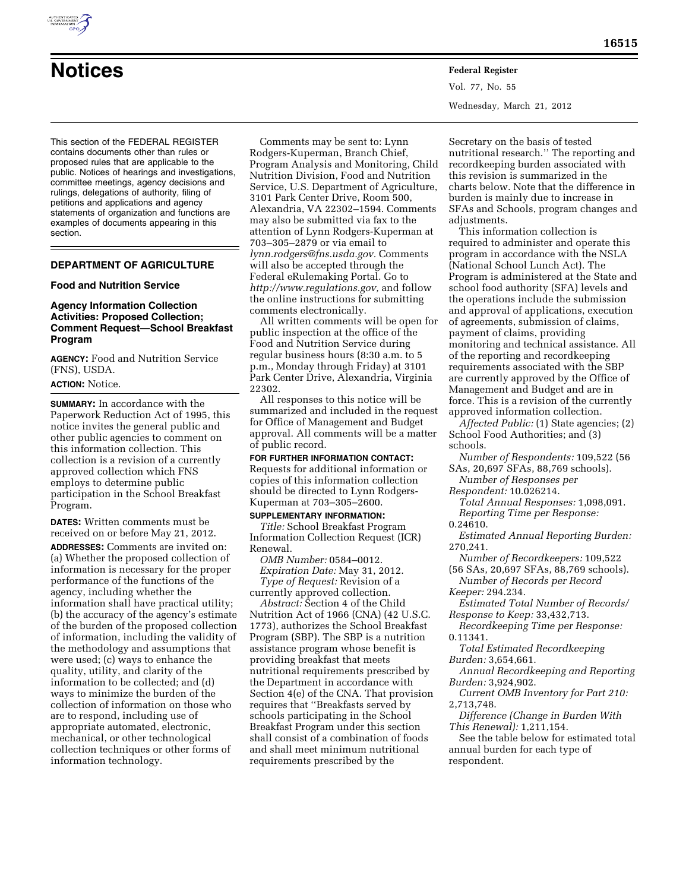

Vol. 77, No. 55 Wednesday, March 21, 2012

This section of the FEDERAL REGISTER contains documents other than rules or proposed rules that are applicable to the public. Notices of hearings and investigations, committee meetings, agency decisions and rulings, delegations of authority, filing of petitions and applications and agency statements of organization and functions are examples of documents appearing in this section.

## **DEPARTMENT OF AGRICULTURE**

## **Food and Nutrition Service**

## **Agency Information Collection Activities: Proposed Collection; Comment Request—School Breakfast Program**

**AGENCY:** Food and Nutrition Service (FNS), USDA.

## **ACTION:** Notice.

**SUMMARY:** In accordance with the Paperwork Reduction Act of 1995, this notice invites the general public and other public agencies to comment on this information collection. This collection is a revision of a currently approved collection which FNS employs to determine public participation in the School Breakfast Program.

**DATES:** Written comments must be received on or before May 21, 2012.

**ADDRESSES:** Comments are invited on: (a) Whether the proposed collection of information is necessary for the proper performance of the functions of the agency, including whether the information shall have practical utility; (b) the accuracy of the agency's estimate of the burden of the proposed collection of information, including the validity of the methodology and assumptions that were used; (c) ways to enhance the quality, utility, and clarity of the information to be collected; and (d) ways to minimize the burden of the collection of information on those who are to respond, including use of appropriate automated, electronic, mechanical, or other technological collection techniques or other forms of information technology.

Comments may be sent to: Lynn Rodgers-Kuperman, Branch Chief, Program Analysis and Monitoring, Child Nutrition Division, Food and Nutrition Service, U.S. Department of Agriculture, 3101 Park Center Drive, Room 500, Alexandria, VA 22302–1594. Comments may also be submitted via fax to the attention of Lynn Rodgers-Kuperman at 703–305–2879 or via email to *lynn.rodgers@fns.usda.gov.* Comments will also be accepted through the Federal eRulemaking Portal. Go to *[http://www.regulations.gov,](http://www.regulations.gov)* and follow the online instructions for submitting comments electronically.

All written comments will be open for public inspection at the office of the Food and Nutrition Service during regular business hours (8:30 a.m. to 5 p.m., Monday through Friday) at 3101 Park Center Drive, Alexandria, Virginia 22302.

All responses to this notice will be summarized and included in the request for Office of Management and Budget approval. All comments will be a matter of public record.

**FOR FURTHER INFORMATION CONTACT:**  Requests for additional information or copies of this information collection should be directed to Lynn Rodgers-Kuperman at 703–305–2600.

#### **SUPPLEMENTARY INFORMATION:**

*Title:* School Breakfast Program Information Collection Request (ICR) Renewal.

*OMB Number:* 0584–0012. *Expiration Date:* May 31, 2012.

*Type of Request:* Revision of a currently approved collection. *Abstract:* Section 4 of the Child

Nutrition Act of 1966 (CNA) (42 U.S.C. 1773), authorizes the School Breakfast Program (SBP). The SBP is a nutrition assistance program whose benefit is providing breakfast that meets nutritional requirements prescribed by the Department in accordance with Section 4(e) of the CNA. That provision requires that ''Breakfasts served by schools participating in the School Breakfast Program under this section shall consist of a combination of foods and shall meet minimum nutritional requirements prescribed by the

Secretary on the basis of tested nutritional research.'' The reporting and recordkeeping burden associated with this revision is summarized in the charts below. Note that the difference in burden is mainly due to increase in SFAs and Schools, program changes and adjustments.

This information collection is required to administer and operate this program in accordance with the NSLA (National School Lunch Act). The Program is administered at the State and school food authority (SFA) levels and the operations include the submission and approval of applications, execution of agreements, submission of claims, payment of claims, providing monitoring and technical assistance. All of the reporting and recordkeeping requirements associated with the SBP are currently approved by the Office of Management and Budget and are in force. This is a revision of the currently approved information collection.

*Affected Public:* (1) State agencies; (2) School Food Authorities; and (3) schools.

*Number of Respondents:* 109,522 (56 SAs, 20,697 SFAs, 88,769 schools).

*Number of Responses per Respondent:* 10.026214.

*Total Annual Responses:* 1,098,091. *Reporting Time per Response:* 

0.24610.

*Estimated Annual Reporting Burden:*  270,241.

*Number of Recordkeepers:* 109,522 (56 SAs, 20,697 SFAs, 88,769 schools).

*Number of Records per Record Keeper:* 294.234.

*Estimated Total Number of Records/ Response to Keep:* 33,432,713.

*Recordkeeping Time per Response:*  0.11341.

*Total Estimated Recordkeeping Burden:* 3,654,661.

*Annual Recordkeeping and Reporting Burden:* 3,924,902.

*Current OMB Inventory for Part 210:*  2,713,748.

*Difference (Change in Burden With This Renewal):* 1,211,154.

See the table below for estimated total annual burden for each type of respondent.